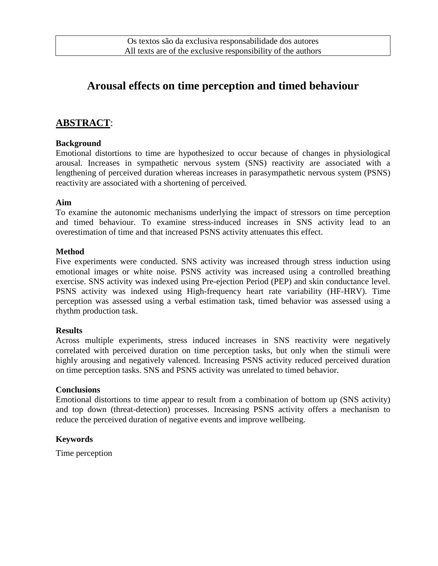# **Arousal effects on time perception and timed behaviour**

### **ABSTRACT**:

#### **Background**

Emotional distortions to time are hypothesized to occur because of changes in physiological arousal. Increases in sympathetic nervous system (SNS) reactivity are associated with a lengthening of perceived duration whereas increases in parasympathetic nervous system (PSNS) reactivity are associated with a shortening of perceived.

#### **Aim**

To examine the autonomic mechanisms underlying the impact of stressors on time perception and timed behaviour. To examine stress-induced increases in SNS activity lead to an overestimation of time and that increased PSNS activity attenuates this effect.

#### **Method**

Five experiments were conducted. SNS activity was increased through stress induction using emotional images or white noise. PSNS activity was increased using a controlled breathing exercise. SNS activity was indexed using Pre-ejection Period (PEP) and skin conductance level. PSNS activity was indexed using High-frequency heart rate variability (HF-HRV). Time perception was assessed using a verbal estimation task, timed behavior was assessed using a rhythm production task.

#### **Results**

Across multiple experiments, stress induced increases in SNS reactivity were negatively correlated with perceived duration on time perception tasks, but only when the stimuli were highly arousing and negatively valenced. Increasing PSNS activity reduced perceived duration on time perception tasks. SNS and PSNS activity was unrelated to timed behavior.

#### **Conclusions**

Emotional distortions to time appear to result from a combination of bottom up (SNS activity) and top down (threat-detection) processes. Increasing PSNS activity offers a mechanism to reduce the perceived duration of negative events and improve wellbeing.

#### **Keywords**

Time perception